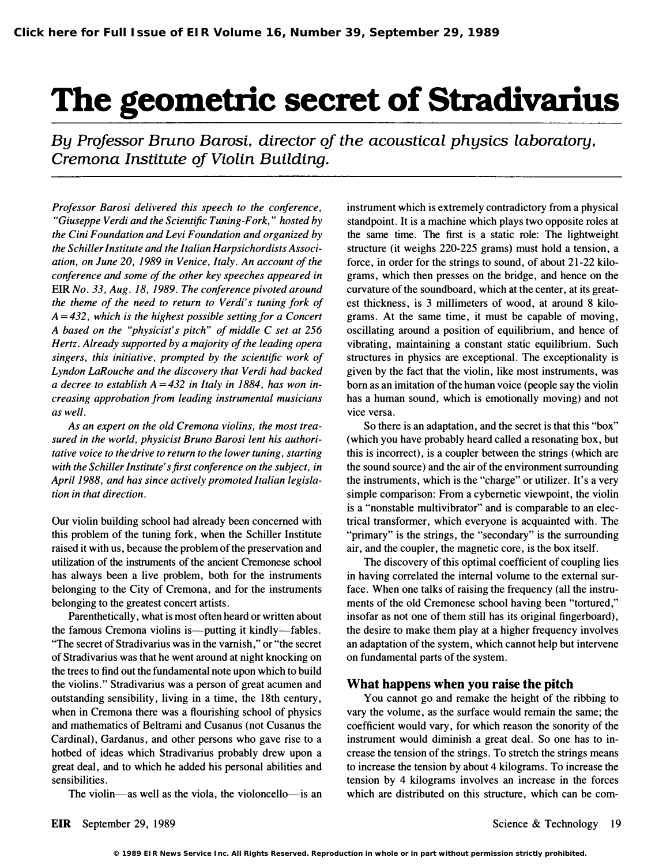## The geometric secret of Stradivarius

By Professor Bruno Barosi, director of the acoustical physics laboratory, Cremona Institute qf Violin Building.

Professor Barosi delivered this speech to the conference, "Giuseppe Verdi and the Scientific Tuning-Fork," hosted by the Cini Foundation and Levi Foundation and organized by the Schiller Institute and the Italian Harpsichordists Association, on June 20, 1989 in Venice, Italy. An account of the conference and some of the other key speeches appeared in EIR No. 33, Aug. 18, 1989. The conference pivoted around the theme of the need to return to Verdi's tuning fork of  $A = 432$ , which is the highest possible setting for a Concert A based on the "physicist's pitch" of middle C set at 256 Hertz. Already supported by a majority of the leading opera singers, this initiative, prompted by the scientific work of Lyndon LaRouche and the discovery that Verdi had backed a decree to establish  $A = 432$  in Italy in 1884, has won increasing approbation from leading instrumental musicians as well.

As an expert on the old Cremona violins, the most treasured in the world, physicist Bruno Barosi lent his authoritative voice to the drive to return to the lower tuning, starting with the Schiller Institute's first conference on the subject, in April 1988, and has since actively promoted Italian legislation in that direction.

Our violin building school had already been concerned with this problem of the tuning fork, when the Schiller Institute raised it with us, because the problem of the preservation and utilization of the instruments of the ancient Cremonese school has always been a live problem, both for the instruments belonging to the City of Cremona, and for the instruments belonging to the greatest concert artists.

Parenthetically, what is most often heard or written about the famous Cremona violins is—putting it kindly—fables. ''The secret of Stradivarius was in the varnish," or "the secret of Stradivarius was that he went around at night knocking on the trees to find out the fundamental note upon which to build the violins." Stradivarius was a person of great acumen and outstanding sensibility, living in a time, the 18th century, when in Cremona there was a flourishing school of physics and mathematics of Beltrami and Cusanus (not Cusanus the Cardinal), Gardanus, and other persons who gave rise to <sup>a</sup> hotbed of ideas which Stradivarius probably drew upon a great deal, and to which he added his personal abilities and sensibilities.

The violin-as well as the viola, the violoncello-is an

instrument which is extremely contradictory from a physical standpoint. It is a machine which plays two opposite roles at the same time. The first is a static role: The lightweight structure (it weighs 220-225 grams) must hold a tension, a force, in order for the strings to sound, of about 21-22 kilograms, which then presses on the bridge, and hence on the curvature of the soundboard, which at the center, at its greatest thickness, is 3 millimeters of wood, at around 8 kilograms. At the same time, it must be capable of moving, oscillating around a position of equilibrium, and hence of vibrating, maintaining a constant static equilibrium. Such structures in physics are exceptional. The exceptionality is given by the fact that the violin, like most instruments, was born as an imitation of the human voice (people say the violin has a human sound, which is emotionally moving) and not vice versa.

So there is an adaptation, and the secret is that this "box" (which you have probably heard called a resonating box, but this is incorrect), is a coupler between the strings (which are the sound source) and the air of the environment surrounding the instruments, which is the "charge" or utilizer. It's a very simple comparison: From a cybernetic viewpoint, the violin is a "nonstable multivibrator" and is comparable to an electrical transformer, which everyone is acquainted with. The "primary" is the strings, the "secondary" is the surrounding air, and the coupler, the magnetic core, is the box itself.

The discovery of this optimal coefficient of coupling lies in having correlated the internal volume to the external surface. When one talks of raising the frequency (all the instruments of the old Cremonese school having been "tortured," insofar as not one of them still has its original fingerboard), the desire to make them play at a higher frequency involves an adaptation of the system, which cannot help but intervene on fundamental parts of the system.

## What happens when you raise the pitch

You cannot go and remake the height of the ribbing to vary the volume, as the surface would remain the same; the coefficient would vary, for which reason the sonority of the instrument would diminish a great deal. So one has to increase the tension of the strings. To stretch the strings means to increase the tension by about 4 kilograms. To increase the tension by 4 kilograms involves an increase in the forces which are distributed on this structure, which can be com-

**<sup>© 1989</sup> EIR News Service Inc. All Rights Reserved. Reproduction in whole or in part without permission strictly prohibited.**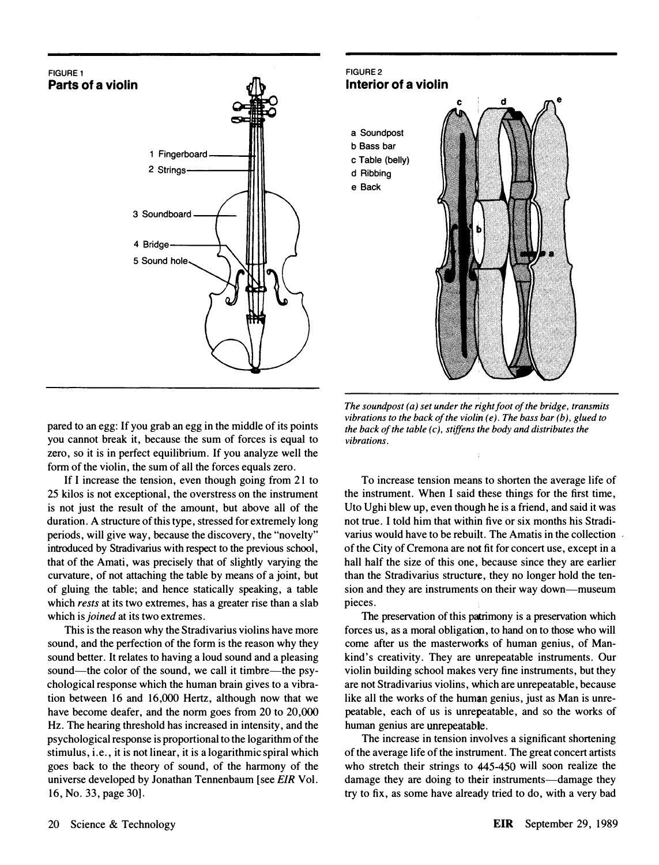





The sound post  $(a)$  set under the right foot of the bridge, transmits vibrations to the back of the violin  $(e)$ . The bass bar  $(b)$ , glued to the back of the table  $(c)$ , stiffens the body and distributes the vibrations.

pared to an egg: If you grab an egg in the middle of its points you cannot break it, because the sum of forces is equal to zero, so it is in perfect equilibrium. If you analyze well the form of the violin, the sum of all the forces equals zero.

If I increase the tension, even though going from 21 to 25 kilos is not exceptional, the overstress on the instrument is not just the result of the amount, but above all of the duration. A structure of this type, stressed for extremely long periods, will give way, because the discovery, the "novelty" introduced by Stradivarius with respect to the previous school, that of the Amati, was precisely that of slightly varying the curvature, of not attaching the table by means of a joint, but of gluing the table; and hence statically speaking, a table which *rests* at its two extremes, has a greater rise than a slab which is *joined* at its two extremes.

This is the reason why the Stradivarius violins have more sound, and the perfection of the form is the reason why they sound better. It relates to having a loud sound and a pleasing sound—the color of the sound, we call it timbre—the psychological response which the human brain gives to a vibration between 16 and 16,000 Hertz, although now that we have become deafer, and the norm goes from 20 to 20,000 Hz. The hearing threshold has increased in intensity, and the psychological response is proportional to the logarithm of the stimulus, i.e., it is not linear, it is a logarithmic spiral which goes back to the theory of sound, of the harmony of the universe developed by Jonathan Tennenbaum [see EIR Vol. 16, No. 33, page 30].

To increase tension means to shorten the average life of the instrument. When I said these things for the first time, Uto Ughi blew up, even though he is a friend, and said it was not true. I told him that within five or six months his Stradivarius would have to be rebuilt. The Amatis in the collection of the City of Cremona are not fit for concert use, except in a hall half the size of this one, because since they are earlier than the Stradivarius structure, they no longer hold the tension and they are instruments on their way down-museum pieces.

The preservation of this patrimony is a preservation which forces us, as a moral obligation, to hand on to those who will come after us the masterworks of human genius, of Mankind's creativity. They are unrepeatable instruments. Our violin building school makes very fine instruments, but they are not Stradivarius violins, which are unrepeatable, because like all the works of the human genius, just as Man is unrepeatable, each of us is unrepeatable, and so the works of human genius are unrepeatable.

The increase in tension involves a significant shortening of the average life of the instrument. The great concert artists who stretch their strings to 445-450 will soon realize the damage they are doing to their instruments—damage they try to fix, as some have already tried to do, with a very bad